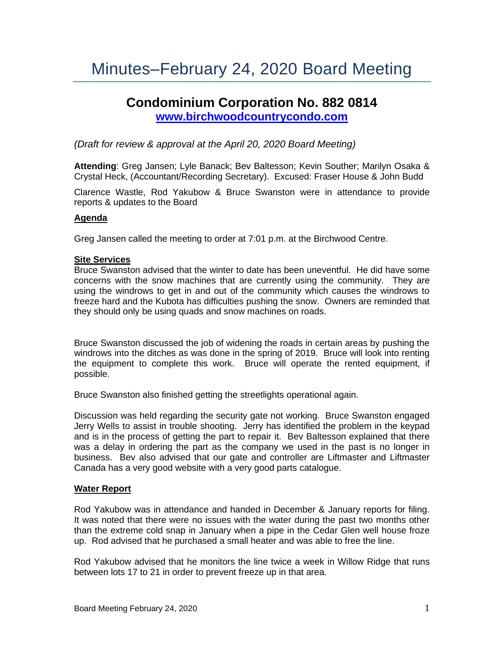# Minutes–February 24, 2020 Board Meeting

# **Condominium Corporation No. 882 0814 [www.birchwoodcountrycondo.com](http://www.birchwoodcountrycondo.com/)**

# *(Draft for review & approval at the April 20, 2020 Board Meeting)*

**Attending**: Greg Jansen; Lyle Banack; Bev Baltesson; Kevin Souther; Marilyn Osaka & Crystal Heck, (Accountant/Recording Secretary). Excused: Fraser House & John Budd

Clarence Wastle, Rod Yakubow & Bruce Swanston were in attendance to provide reports & updates to the Board

#### **Agenda**

Greg Jansen called the meeting to order at 7:01 p.m. at the Birchwood Centre.

#### **Site Services**

Bruce Swanston advised that the winter to date has been uneventful. He did have some concerns with the snow machines that are currently using the community. They are using the windrows to get in and out of the community which causes the windrows to freeze hard and the Kubota has difficulties pushing the snow. Owners are reminded that they should only be using quads and snow machines on roads.

Bruce Swanston discussed the job of widening the roads in certain areas by pushing the windrows into the ditches as was done in the spring of 2019. Bruce will look into renting the equipment to complete this work. Bruce will operate the rented equipment, if possible.

Bruce Swanston also finished getting the streetlights operational again.

Discussion was held regarding the security gate not working. Bruce Swanston engaged Jerry Wells to assist in trouble shooting. Jerry has identified the problem in the keypad and is in the process of getting the part to repair it. Bev Baltesson explained that there was a delay in ordering the part as the company we used in the past is no longer in business. Bev also advised that our gate and controller are Liftmaster and Liftmaster Canada has a very good website with a very good parts catalogue.

## **Water Report**

Rod Yakubow was in attendance and handed in December & January reports for filing. It was noted that there were no issues with the water during the past two months other than the extreme cold snap in January when a pipe in the Cedar Glen well house froze up. Rod advised that he purchased a small heater and was able to free the line.

Rod Yakubow advised that he monitors the line twice a week in Willow Ridge that runs between lots 17 to 21 in order to prevent freeze up in that area.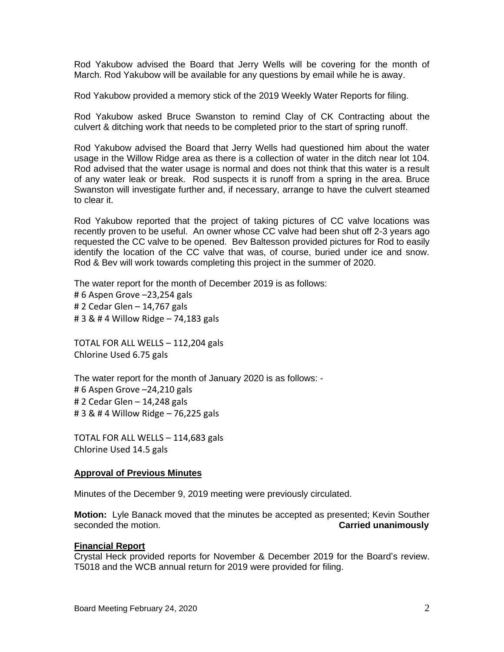Rod Yakubow advised the Board that Jerry Wells will be covering for the month of March. Rod Yakubow will be available for any questions by email while he is away.

Rod Yakubow provided a memory stick of the 2019 Weekly Water Reports for filing.

Rod Yakubow asked Bruce Swanston to remind Clay of CK Contracting about the culvert & ditching work that needs to be completed prior to the start of spring runoff.

Rod Yakubow advised the Board that Jerry Wells had questioned him about the water usage in the Willow Ridge area as there is a collection of water in the ditch near lot 104. Rod advised that the water usage is normal and does not think that this water is a result of any water leak or break. Rod suspects it is runoff from a spring in the area. Bruce Swanston will investigate further and, if necessary, arrange to have the culvert steamed to clear it.

Rod Yakubow reported that the project of taking pictures of CC valve locations was recently proven to be useful. An owner whose CC valve had been shut off 2-3 years ago requested the CC valve to be opened. Bev Baltesson provided pictures for Rod to easily identify the location of the CC valve that was, of course, buried under ice and snow. Rod & Bev will work towards completing this project in the summer of 2020.

The water report for the month of December 2019 is as follows: # 6 Aspen Grove –23,254 gals # 2 Cedar Glen – 14,767 gals # 3 & # 4 Willow Ridge – 74,183 gals

TOTAL FOR ALL WELLS – 112,204 gals Chlorine Used 6.75 gals

The water report for the month of January 2020 is as follows: - # 6 Aspen Grove –24,210 gals # 2 Cedar Glen – 14,248 gals # 3 & # 4 Willow Ridge – 76,225 gals

TOTAL FOR ALL WELLS – 114,683 gals Chlorine Used 14.5 gals

#### **Approval of Previous Minutes**

Minutes of the December 9, 2019 meeting were previously circulated.

**Motion:** Lyle Banack moved that the minutes be accepted as presented; Kevin Souther seconded the motion. **Carried unanimously**

#### **Financial Report**

Crystal Heck provided reports for November & December 2019 for the Board's review. T5018 and the WCB annual return for 2019 were provided for filing.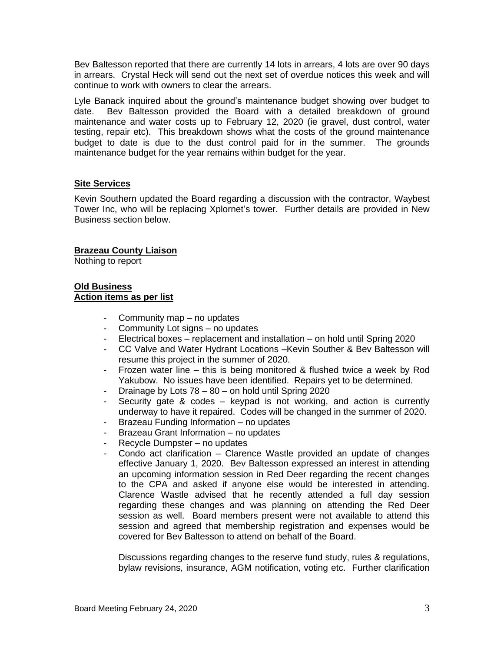Bev Baltesson reported that there are currently 14 lots in arrears, 4 lots are over 90 days in arrears. Crystal Heck will send out the next set of overdue notices this week and will continue to work with owners to clear the arrears.

Lyle Banack inquired about the ground's maintenance budget showing over budget to date. Bev Baltesson provided the Board with a detailed breakdown of ground maintenance and water costs up to February 12, 2020 (ie gravel, dust control, water testing, repair etc). This breakdown shows what the costs of the ground maintenance budget to date is due to the dust control paid for in the summer. The grounds maintenance budget for the year remains within budget for the year.

# **Site Services**

Kevin Southern updated the Board regarding a discussion with the contractor, Waybest Tower Inc, who will be replacing Xplornet's tower. Further details are provided in New Business section below.

# **Brazeau County Liaison**

Nothing to report

# **Old Business Action items as per list**

- Community map no updates
- Community Lot signs no updates
- Electrical boxes replacement and installation on hold until Spring 2020
- CC Valve and Water Hydrant Locations –Kevin Souther & Bev Baltesson will resume this project in the summer of 2020.
- Frozen water line this is being monitored & flushed twice a week by Rod Yakubow. No issues have been identified. Repairs yet to be determined.
- Drainage by Lots 78 80 on hold until Spring 2020
- Security gate & codes keypad is not working, and action is currently underway to have it repaired. Codes will be changed in the summer of 2020.
- Brazeau Funding Information no updates
- Brazeau Grant Information no updates
- Recycle Dumpster no updates
- Condo act clarification Clarence Wastle provided an update of changes effective January 1, 2020. Bev Baltesson expressed an interest in attending an upcoming information session in Red Deer regarding the recent changes to the CPA and asked if anyone else would be interested in attending. Clarence Wastle advised that he recently attended a full day session regarding these changes and was planning on attending the Red Deer session as well. Board members present were not available to attend this session and agreed that membership registration and expenses would be covered for Bev Baltesson to attend on behalf of the Board.

Discussions regarding changes to the reserve fund study, rules & regulations, bylaw revisions, insurance, AGM notification, voting etc. Further clarification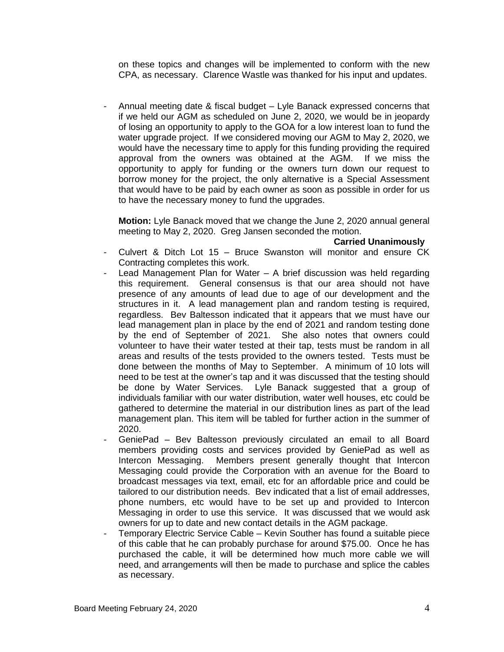on these topics and changes will be implemented to conform with the new CPA, as necessary. Clarence Wastle was thanked for his input and updates.

- Annual meeting date & fiscal budget – Lyle Banack expressed concerns that if we held our AGM as scheduled on June 2, 2020, we would be in jeopardy of losing an opportunity to apply to the GOA for a low interest loan to fund the water upgrade project. If we considered moving our AGM to May 2, 2020, we would have the necessary time to apply for this funding providing the required approval from the owners was obtained at the AGM. If we miss the opportunity to apply for funding or the owners turn down our request to borrow money for the project, the only alternative is a Special Assessment that would have to be paid by each owner as soon as possible in order for us to have the necessary money to fund the upgrades.

**Motion:** Lyle Banack moved that we change the June 2, 2020 annual general meeting to May 2, 2020. Greg Jansen seconded the motion.

#### **Carried Unanimously**

- Culvert & Ditch Lot 15 Bruce Swanston will monitor and ensure CK Contracting completes this work.
- Lead Management Plan for Water A brief discussion was held regarding this requirement. General consensus is that our area should not have presence of any amounts of lead due to age of our development and the structures in it. A lead management plan and random testing is required, regardless. Bev Baltesson indicated that it appears that we must have our lead management plan in place by the end of 2021 and random testing done by the end of September of 2021. She also notes that owners could volunteer to have their water tested at their tap, tests must be random in all areas and results of the tests provided to the owners tested. Tests must be done between the months of May to September. A minimum of 10 lots will need to be test at the owner's tap and it was discussed that the testing should be done by Water Services. Lyle Banack suggested that a group of individuals familiar with our water distribution, water well houses, etc could be gathered to determine the material in our distribution lines as part of the lead management plan. This item will be tabled for further action in the summer of 2020.
- GeniePad Bev Baltesson previously circulated an email to all Board members providing costs and services provided by GeniePad as well as Intercon Messaging. Members present generally thought that Intercon Messaging could provide the Corporation with an avenue for the Board to broadcast messages via text, email, etc for an affordable price and could be tailored to our distribution needs. Bev indicated that a list of email addresses, phone numbers, etc would have to be set up and provided to Intercon Messaging in order to use this service. It was discussed that we would ask owners for up to date and new contact details in the AGM package.
- Temporary Electric Service Cable Kevin Souther has found a suitable piece of this cable that he can probably purchase for around \$75.00. Once he has purchased the cable, it will be determined how much more cable we will need, and arrangements will then be made to purchase and splice the cables as necessary.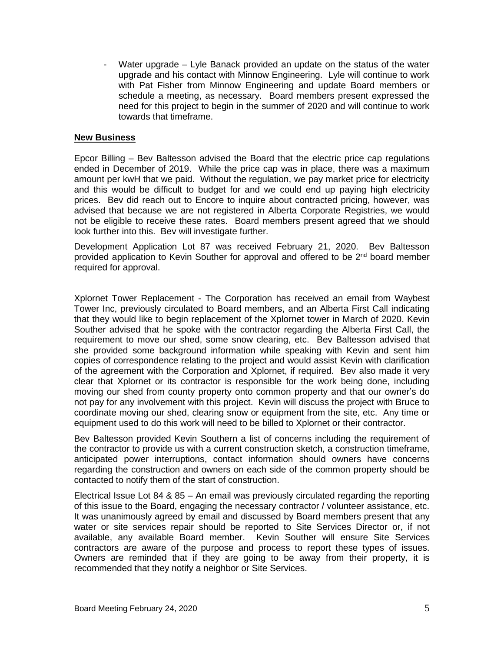Water upgrade – Lyle Banack provided an update on the status of the water upgrade and his contact with Minnow Engineering. Lyle will continue to work with Pat Fisher from Minnow Engineering and update Board members or schedule a meeting, as necessary. Board members present expressed the need for this project to begin in the summer of 2020 and will continue to work towards that timeframe.

## **New Business**

Epcor Billing – Bev Baltesson advised the Board that the electric price cap regulations ended in December of 2019. While the price cap was in place, there was a maximum amount per kwH that we paid. Without the regulation, we pay market price for electricity and this would be difficult to budget for and we could end up paying high electricity prices. Bev did reach out to Encore to inquire about contracted pricing, however, was advised that because we are not registered in Alberta Corporate Registries, we would not be eligible to receive these rates. Board members present agreed that we should look further into this. Bev will investigate further.

Development Application Lot 87 was received February 21, 2020. Bev Baltesson provided application to Kevin Souther for approval and offered to be  $2^{nd}$  board member required for approval.

Xplornet Tower Replacement - The Corporation has received an email from Waybest Tower Inc, previously circulated to Board members, and an Alberta First Call indicating that they would like to begin replacement of the Xplornet tower in March of 2020. Kevin Souther advised that he spoke with the contractor regarding the Alberta First Call, the requirement to move our shed, some snow clearing, etc. Bev Baltesson advised that she provided some background information while speaking with Kevin and sent him copies of correspondence relating to the project and would assist Kevin with clarification of the agreement with the Corporation and Xplornet, if required. Bev also made it very clear that Xplornet or its contractor is responsible for the work being done, including moving our shed from county property onto common property and that our owner's do not pay for any involvement with this project. Kevin will discuss the project with Bruce to coordinate moving our shed, clearing snow or equipment from the site, etc. Any time or equipment used to do this work will need to be billed to Xplornet or their contractor.

Bev Baltesson provided Kevin Southern a list of concerns including the requirement of the contractor to provide us with a current construction sketch, a construction timeframe, anticipated power interruptions, contact information should owners have concerns regarding the construction and owners on each side of the common property should be contacted to notify them of the start of construction.

Electrical Issue Lot 84 & 85 – An email was previously circulated regarding the reporting of this issue to the Board, engaging the necessary contractor / volunteer assistance, etc. It was unanimously agreed by email and discussed by Board members present that any water or site services repair should be reported to Site Services Director or, if not available, any available Board member. Kevin Souther will ensure Site Services contractors are aware of the purpose and process to report these types of issues. Owners are reminded that if they are going to be away from their property, it is recommended that they notify a neighbor or Site Services.